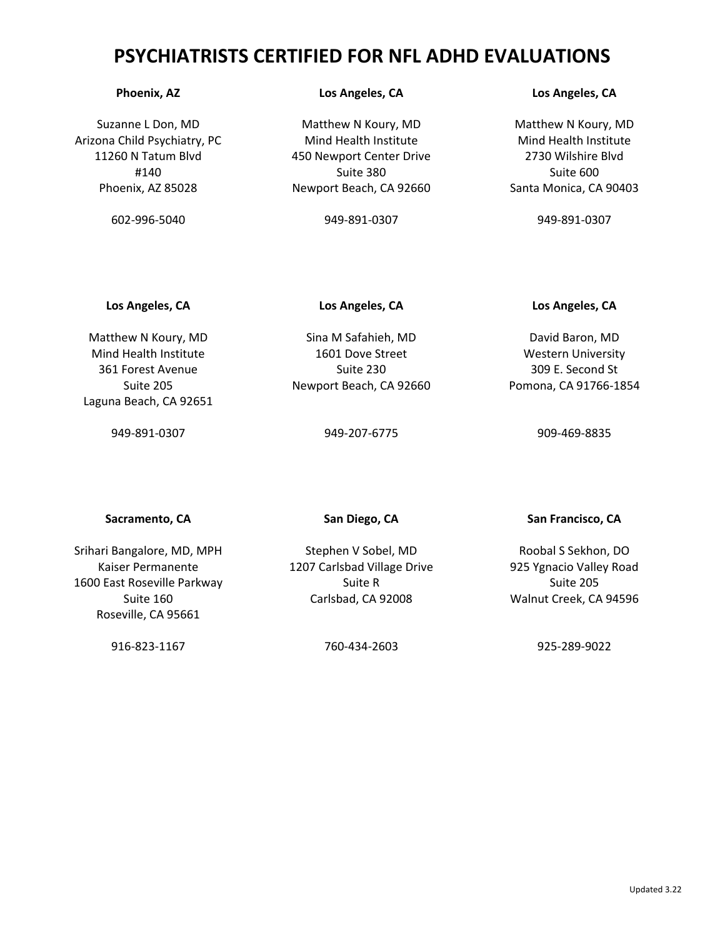## **Phoenix, AZ**

Suzanne L Don, MD Arizona Child Psychiatry, PC 11260 N Tatum Blvd #140 Phoenix, AZ 85028

602-996-5040

#### **Los Angeles, CA**

Matthew N Koury, MD Mind Health Institute 450 Newport Center Drive Suite 380 Newport Beach, CA 92660

949-891-0307

#### **Los Angeles, CA**

Matthew N Koury, MD Mind Health Institute 2730 Wilshire Blvd Suite 600 Santa Monica, CA 90403

949-891-0307

## **Los Angeles, CA**

## **Los Angeles, CA**

Matthew N Koury, MD Mind Health Institute 361 Forest Avenue Suite 205 Laguna Beach, CA 92651

Sina M Safahieh, MD 1601 Dove Street Suite 230 Newport Beach, CA 92660 **Los Angeles, CA**

David Baron, MD Western University 309 E. Second St Pomona, CA 91766-1854

949-891-0307

## 949-207-6775

909-469-8835

## **Sacramento, CA**

Srihari Bangalore, MD, MPH Kaiser Permanente 1600 East Roseville Parkway Suite 160 Roseville, CA 95661

Stephen V Sobel, MD 1207 Carlsbad Village Drive Suite R Carlsbad, CA 92008

**San Diego, CA**

916-823-1167

760-434-2603

**San Francisco, CA**

Roobal S Sekhon, DO 925 Ygnacio Valley Road Suite 205 Walnut Creek, CA 94596

925-289-9022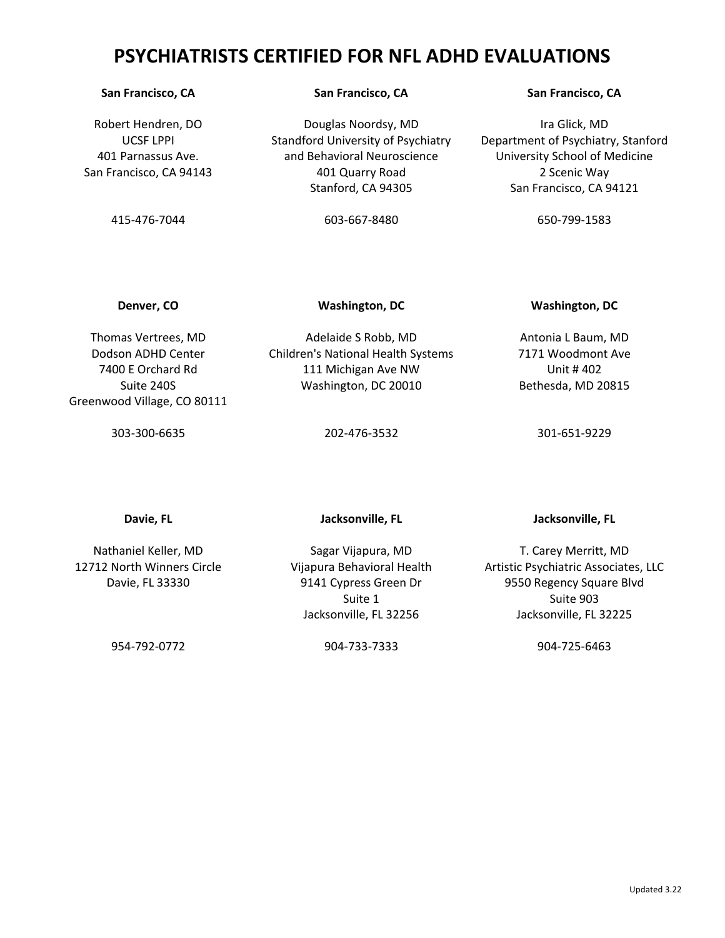#### **San Francisco, CA**

Robert Hendren, DO UCSF LPPI 401 Parnassus Ave. San Francisco, CA 94143

415-476-7044

#### **San Francisco, CA**

Douglas Noordsy, MD Standford University of Psychiatry and Behavioral Neuroscience 401 Quarry Road Stanford, CA 94305

603-667-8480

## **San Francisco, CA**

Ira Glick, MD Department of Psychiatry, Stanford University School of Medicine 2 Scenic Way San Francisco, CA 94121

650-799-1583

#### **Denver, CO**

#### **Washington, DC**

Thomas Vertrees, MD Dodson ADHD Center 7400 E Orchard Rd Suite 240S Greenwood Village, CO 80111

Adelaide S Robb, MD Children's National Health Systems 111 Michigan Ave NW Washington, DC 20010

**Washington, DC**

Antonia L Baum, MD 7171 Woodmont Ave Unit # 402 Bethesda, MD 20815

303-300-6635

## 202-476-3532

301-651-9229

#### **Davie, FL**

**Jacksonville, FL**

**Jacksonville, FL**

Nathaniel Keller, MD 12712 North Winners Circle Davie, FL 33330

Sagar Vijapura, MD Vijapura Behavioral Health 9141 Cypress Green Dr Suite 1 Jacksonville, FL 32256

954-792-0772

904-733-7333

T. Carey Merritt, MD Artistic Psychiatric Associates, LLC 9550 Regency Square Blvd Suite 903 Jacksonville, FL 32225

904-725-6463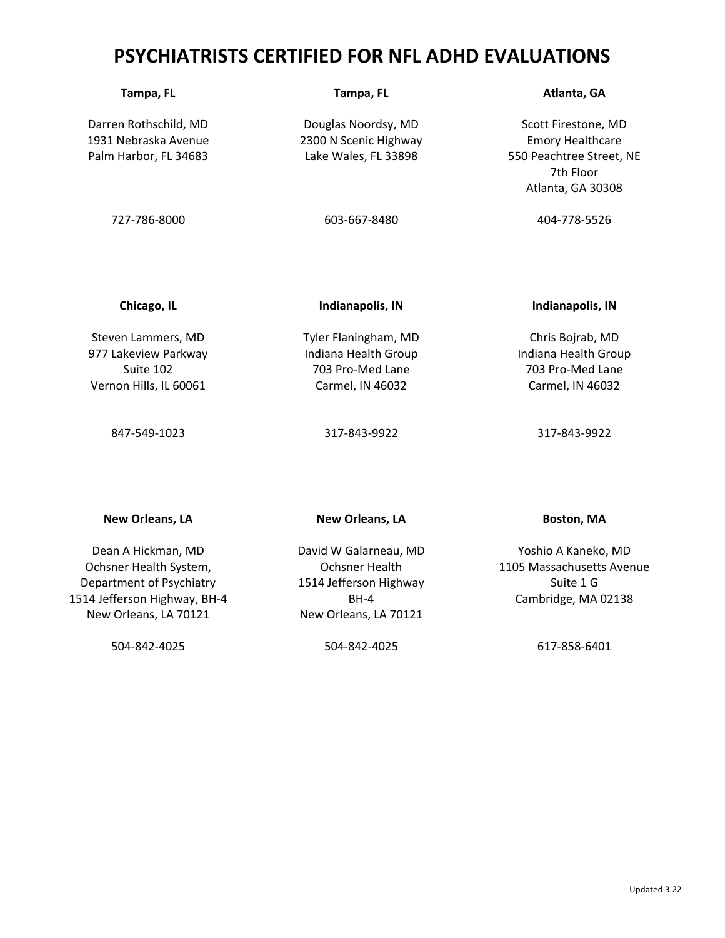| Tampa, FL             | Tampa, FL             | Atlanta, GA                           |
|-----------------------|-----------------------|---------------------------------------|
| Darren Rothschild, MD | Douglas Noordsy, MD   | Scott Firestone, MD                   |
| 1931 Nebraska Avenue  | 2300 N Scenic Highway | <b>Emory Healthcare</b>               |
| Palm Harbor, FL 34683 | Lake Wales, FL 33898  | 550 Peachtree Street, NE<br>7th Floor |
|                       |                       | Atlanta, GA 30308                     |
| 727-786-8000          | 603-667-8480          | 404-778-5526                          |
| Chicago, IL           | Indianapolis, IN      | Indianapolis, IN                      |
| Steven Lammers, MD    | Tyler Flaningham, MD  | Chris Bojrab, MD                      |

Steven Lammers, MD 977 Lakeview Parkway Suite 102 Vernon Hills, IL 60061

Tyler Flaningham, MD Indiana Health Group 703 Pro-Med Lane Carmel, IN 46032

847-549-1023

## 317-843-9922

## 317-843-9922

Indiana Health Group 703 Pro-Med Lane Carmel, IN 46032

#### **New Orleans, LA**

## **New Orleans, LA**

## **Boston, MA**

Yoshio A Kaneko, MD 1105 Massachusetts Avenue Suite 1 G Cambridge, MA 02138

Dean A Hickman, MD Ochsner Health System, Department of Psychiatry 1514 Jefferson Highway, BH-4 New Orleans, LA 70121

504-842-4025

David W Galarneau, MD Ochsner Health 1514 Jefferson Highway BH-4 New Orleans, LA 70121

504-842-4025

617-858-6401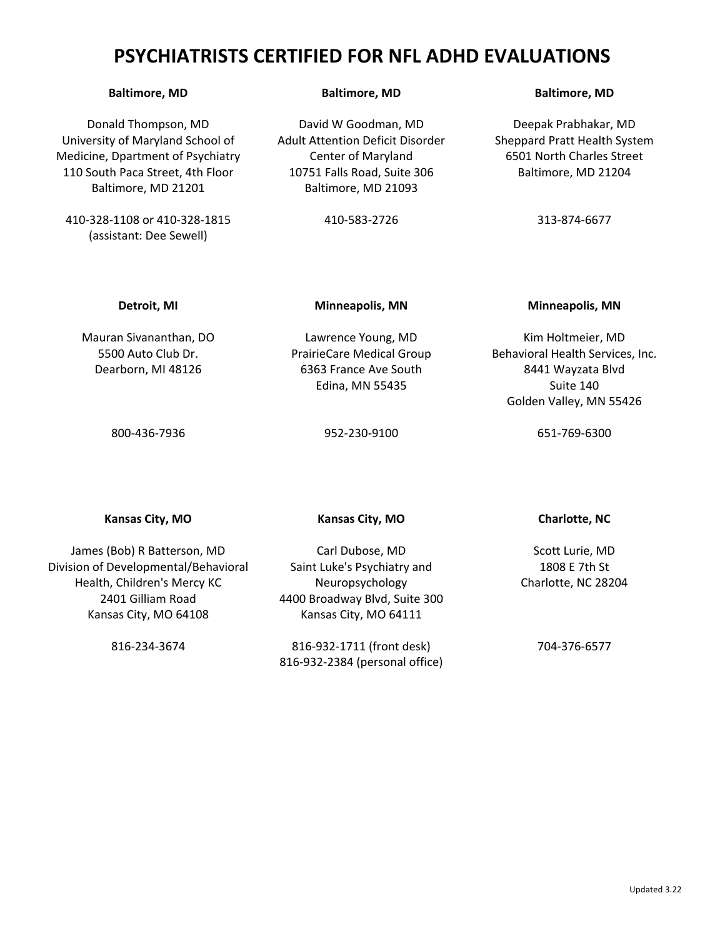#### **Baltimore, MD**

Donald Thompson, MD University of Maryland School of Medicine, Dpartment of Psychiatry 110 South Paca Street, 4th Floor Baltimore, MD 21201

**Baltimore, MD**

David W Goodman, MD Adult Attention Deficit Disorder Center of Maryland 10751 Falls Road, Suite 306 Baltimore, MD 21093

410-583-2726

#### **Baltimore, MD**

Deepak Prabhakar, MD Sheppard Pratt Health System 6501 North Charles Street Baltimore, MD 21204

313-874-6677

**Minneapolis, MN**

Kim Holtmeier, MD Behavioral Health Services, Inc. 8441 Wayzata Blvd Suite 140 Golden Valley, MN 55426

#### **Detroit, MI**

410-328-1108 or 410-328-1815 (assistant: Dee Sewell)

## **Minneapolis, MN**

Mauran Sivananthan, DO 5500 Auto Club Dr. Dearborn, MI 48126

Lawrence Young, MD PrairieCare Medical Group 6363 France Ave South Edina, MN 55435

800-436-7936

## 952-230-9100

651-769-6300

#### **Kansas City, MO**

#### **Kansas City, MO**

## James (Bob) R Batterson, MD Division of Developmental/Behavioral Health, Children's Mercy KC 2401 Gilliam Road Kansas City, MO 64108

816-234-3674

Carl Dubose, MD Saint Luke's Psychiatry and Neuropsychology 4400 Broadway Blvd, Suite 300 Kansas City, MO 64111

816-932-1711 (front desk) 816-932-2384 (personal office)

#### **Charlotte, NC**

Scott Lurie, MD 1808 E 7th St Charlotte, NC 28204

704-376-6577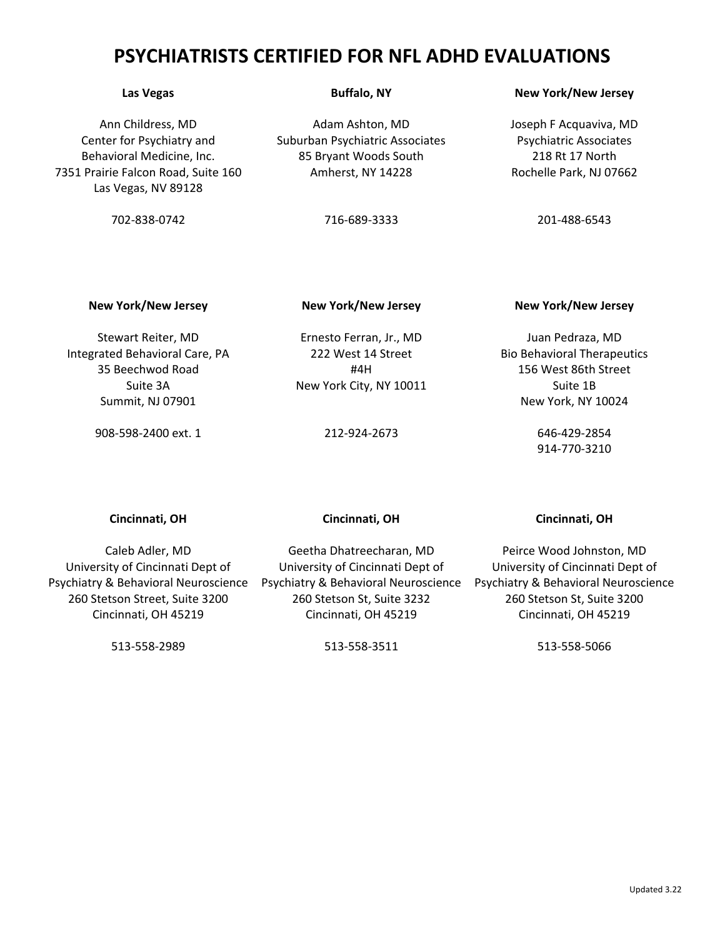#### **Las Vegas**

Ann Childress, MD Center for Psychiatry and Behavioral Medicine, Inc. 7351 Prairie Falcon Road, Suite 160 Las Vegas, NV 89128

## **Buffalo, NY**

Adam Ashton, MD Suburban Psychiatric Associates 85 Bryant Woods South Amherst, NY 14228

716-689-3333

### **New York/New Jersey**

Joseph F Acquaviva, MD Psychiatric Associates 218 Rt 17 North Rochelle Park, NJ 07662

201-488-6543

## **New York/New Jersey**

702-838-0742

Stewart Reiter, MD Integrated Behavioral Care, PA 35 Beechwod Road Suite 3A Summit, NJ 07901

908-598-2400 ext. 1

## **New York/New Jersey**

Ernesto Ferran, Jr., MD 222 West 14 Street #4H New York City, NY 10011

212-924-2673

#### **New York/New Jersey**

Juan Pedraza, MD Bio Behavioral Therapeutics 156 West 86th Street Suite 1B New York, NY 10024

> 646-429-2854 914-770-3210

## **Cincinnati, OH**

#### **Cincinnati, OH**

## **Cincinnati, OH**

Peirce Wood Johnston, MD

Caleb Adler, MD University of Cincinnati Dept of Psychiatry & Behavioral Neuroscience 260 Stetson Street, Suite 3200 Cincinnati, OH 45219

Geetha Dhatreecharan, MD University of Cincinnati Dept of Psychiatry & Behavioral Neuroscience 260 Stetson St, Suite 3232 Cincinnati, OH 45219

513-558-2989

513-558-3511

University of Cincinnati Dept of Psychiatry & Behavioral Neuroscience 260 Stetson St, Suite 3200 Cincinnati, OH 45219

513-558-5066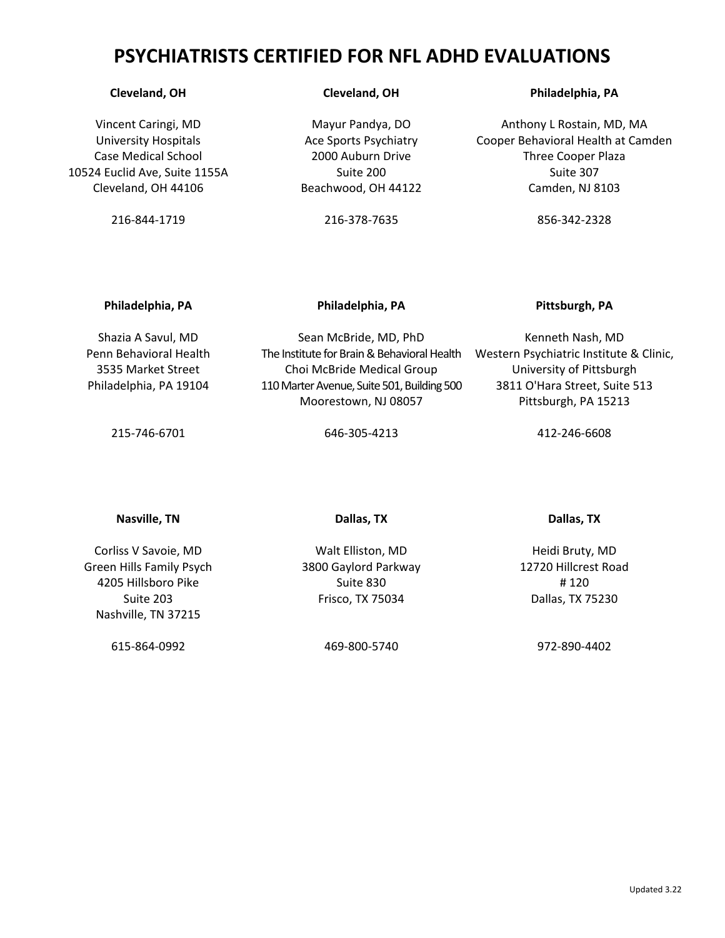## **Cleveland, OH**

Vincent Caringi, MD University Hospitals Case Medical School 10524 Euclid Ave, Suite 1155A Cleveland, OH 44106

**Cleveland, OH**

Mayur Pandya, DO Ace Sports Psychiatry 2000 Auburn Drive Suite 200 Beachwood, OH 44122

216-378-7635

#### **Philadelphia, PA**

Anthony L Rostain, MD, MA Cooper Behavioral Health at Camden Three Cooper Plaza Suite 307 Camden, NJ 8103

856-342-2328

**Pittsburgh, PA**

Kenneth Nash, MD Western Psychiatric Institute & Clinic, University of Pittsburgh

#### **Philadelphia, PA**

216-844-1719

**Philadelphia, PA**

Sean McBride, MD, PhD The Institute for Brain & Behavioral Health Choi McBride Medical Group 110 Marter Avenue, Suite 501, Building 500 Moorestown, NJ 08057

Shazia A Savul, MD Penn Behavioral Health 3535 Market Street Philadelphia, PA 19104

215-746-6701

646-305-4213

3811 O'Hara Street, Suite 513 Pittsburgh, PA 15213

412-246-6608

#### **Nasville, TN**

Corliss V Savoie, MD Green Hills Family Psych 4205 Hillsboro Pike Suite 203 Nashville, TN 37215

615-864-0992

Walt Elliston, MD 3800 Gaylord Parkway Suite 830 Frisco, TX 75034

**Dallas, TX**

469-800-5740

**Dallas, TX**

Heidi Bruty, MD 12720 Hillcrest Road # 120 Dallas, TX 75230

972-890-4402